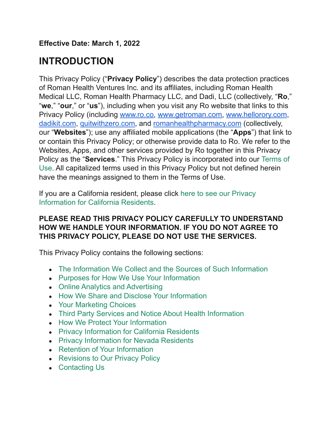**Effective Date: March 1, 2022**

## **INTRODUCTION**

This Privacy Policy ("**Privacy Policy**") describes the data protection practices of Roman Health Ventures Inc. and its affiliates, including Roman Health Medical LLC, Roman Health Pharmacy LLC, and Dadi, LLC (collectively, "**Ro**," "**we**," "**our**," or "**us**"), including when you visit any Ro website that links to this Privacy Policy (including [www.ro.co,](http://www.ro.co) [www.getroman.com,](http://www.getroman.com) [www.hellorory.com](http://www.hellorory.com), [dadikit.com](http://dadikit.com), [quitwithzero.com](http://quitwithzero.com), and [romanhealthpharmacy.com](http://romanhealthpharmacy.com) (collectively, our "**Websites**"); use any affiliated mobile applications (the "**Apps**") that link to or contain this Privacy Policy; or otherwise provide data to Ro. We refer to the Websites, Apps, and other services provided by Ro together in this Privacy Policy as the "**Services**." This Privacy Policy is incorporated into our [Terms of](https://ro.co/terms-of-use) [Use](https://ro.co/terms-of-use). All capitalized terms used in this Privacy Policy but not defined herein have the meanings assigned to them in the Terms of Use.

If you are a California resident, please click here [to see our Privacy](https://ro.co/privacy-policy#privacy-california) [Information for California Residents.](https://ro.co/privacy-policy#privacy-california)

#### **PLEASE READ THIS PRIVACY POLICY CAREFULLY TO UNDERSTAND HOW WE HANDLE YOUR INFORMATION. IF YOU DO NOT AGREE TO THIS PRIVACY POLICY, PLEASE DO NOT USE THE SERVICES.**

This Privacy Policy contains the following sections:

- [The Information We Collect and the Sources of Such Information](https://ro.co/privacy-policy#the-information-we-collect-and-the-sources-of-such-information)
- [Purposes for How We Use Your Information](https://ro.co/privacy-policy#purposes-for-how-we-use-your-information)
- [Online Analytics and Advertising](https://ro.co/privacy-policy#online-analytics-and-advertising)
- [How We Share and Disclose Your Information](https://ro.co/privacy-policy#how-we-share-and-disclose-your-information)
- [Your Marketing Choices](https://ro.co/privacy-policy#your-marketing-choices)
- [Third Party Services and Notice About Health Information](https://ro.co/privacy-policy#third-party-services-and-notice-about-health-information)
- [How We Protect Your Information](https://ro.co/privacy-policy#how-we-protect-your-information)
- [Privacy Information for California Residents](https://ro.co/privacy-policy#privacy-california)
- [Privacy Information for Nevada Residents](https://ro.co/privacy-policy#privacy-information-for-nevada-residents)
- [Retention of Your Information](https://ro.co/privacy-policy#retention-of-your-information)
- [Revisions to Our Privacy Policy](https://ro.co/privacy-policy#revisions-to-our-privacy-policy)
- [Contacting Us](https://ro.co/privacy-policy#contacting-us)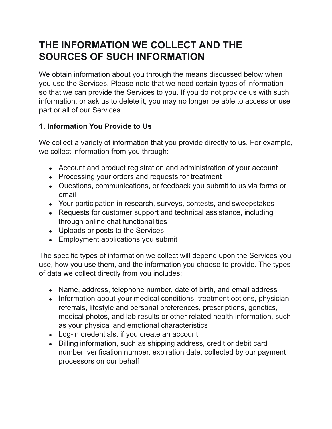### **THE INFORMATION WE COLLECT AND THE SOURCES OF SUCH INFORMATION**

We obtain information about you through the means discussed below when you use the Services. Please note that we need certain types of information so that we can provide the Services to you. If you do not provide us with such information, or ask us to delete it, you may no longer be able to access or use part or all of our Services.

#### **1. Information You Provide to Us**

We collect a variety of information that you provide directly to us. For example, we collect information from you through:

- Account and product registration and administration of your account
- Processing your orders and requests for treatment
- Questions, communications, or feedback you submit to us via forms or email
- Your participation in research, surveys, contests, and sweepstakes
- Requests for customer support and technical assistance, including through online chat functionalities
- Uploads or posts to the Services
- Employment applications you submit

The specific types of information we collect will depend upon the Services you use, how you use them, and the information you choose to provide. The types of data we collect directly from you includes:

- Name, address, telephone number, date of birth, and email address
- Information about your medical conditions, treatment options, physician referrals, lifestyle and personal preferences, prescriptions, genetics, medical photos, and lab results or other related health information, such as your physical and emotional characteristics
- Log-in credentials, if you create an account
- Billing information, such as shipping address, credit or debit card number, verification number, expiration date, collected by our payment processors on our behalf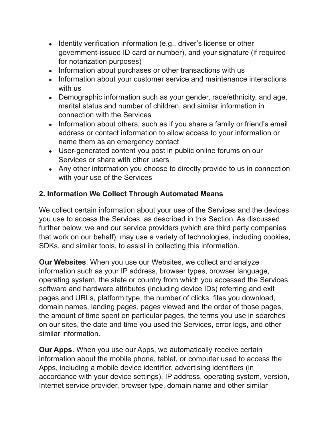- Identity verification information (e.g., driver's license or other government-issued ID card or number), and your signature (if required for notarization purposes)
- Information about purchases or other transactions with us
- Information about your customer service and maintenance interactions with us
- Demographic information such as your gender, race/ethnicity, and age, marital status and number of children, and similar information in connection with the Services
- Information about others, such as if you share a family or friend's email address or contact information to allow access to your information or name them as an emergency contact
- User-generated content you post in public online forums on our Services or share with other users
- Any other information you choose to directly provide to us in connection with your use of the Services

#### **2. Information We Collect Through Automated Means**

We collect certain information about your use of the Services and the devices you use to access the Services, as described in this Section. As discussed further below, we and our service providers (which are third party companies that work on our behalf), may use a variety of technologies, including cookies, SDKs, and similar tools, to assist in collecting this information.

**Our Websites**. When you use our Websites, we collect and analyze information such as your IP address, browser types, browser language, operating system, the state or country from which you accessed the Services, software and hardware attributes (including device IDs) referring and exit pages and URLs, platform type, the number of clicks, files you download, domain names, landing pages, pages viewed and the order of those pages, the amount of time spent on particular pages, the terms you use in searches on our sites, the date and time you used the Services, error logs, and other similar information.

**Our Apps**. When you use our Apps, we automatically receive certain information about the mobile phone, tablet, or computer used to access the Apps, including a mobile device identifier, advertising identifiers (in accordance with your device settings), IP address, operating system, version, Internet service provider, browser type, domain name and other similar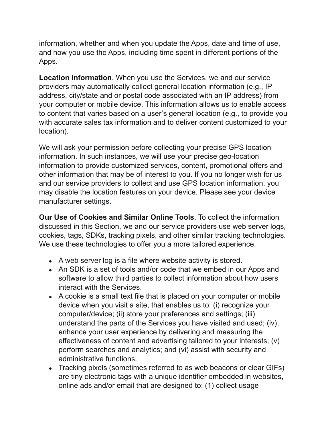information, whether and when you update the Apps, date and time of use, and how you use the Apps, including time spent in different portions of the Apps.

**Location Information**. When you use the Services, we and our service providers may automatically collect general location information (e.g., IP address, city/state and or postal code associated with an IP address) from your computer or mobile device. This information allows us to enable access to content that varies based on a user's general location (e.g., to provide you with accurate sales tax information and to deliver content customized to your location).

We will ask your permission before collecting your precise GPS location information. In such instances, we will use your precise geo-location information to provide customized services, content, promotional offers and other information that may be of interest to you. If you no longer wish for us and our service providers to collect and use GPS location information, you may disable the location features on your device. Please see your device manufacturer settings.

**Our Use of Cookies and Similar Online Tools**. To collect the information discussed in this Section, we and our service providers use web server logs, cookies, tags, SDKs, tracking pixels, and other similar tracking technologies. We use these technologies to offer you a more tailored experience.

- A web server log is a file where website activity is stored.
- An SDK is a set of tools and/or code that we embed in our Apps and software to allow third parties to collect information about how users interact with the Services.
- A cookie is a small text file that is placed on your computer or mobile device when you visit a site, that enables us to: (i) recognize your computer/device; (ii) store your preferences and settings; (iii) understand the parts of the Services you have visited and used; (iv), enhance your user experience by delivering and measuring the effectiveness of content and advertising tailored to your interests; (v) perform searches and analytics; and (vi) assist with security and administrative functions.
- Tracking pixels (sometimes referred to as web beacons or clear GIFs) are tiny electronic tags with a unique identifier embedded in websites, online ads and/or email that are designed to: (1) collect usage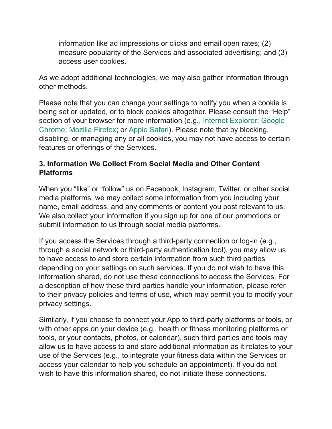information like ad impressions or clicks and email open rates; (2) measure popularity of the Services and associated advertising; and (3) access user cookies.

As we adopt additional technologies, we may also gather information through other methods.

Please note that you can change your settings to notify you when a cookie is being set or updated, or to block cookies altogether. Please consult the "Help" section of your browser for more information (e.g., Internet [Explorer](https://support.microsoft.com/en-us/help/17442/windows-internet-explorer-delete-manage-cookies); [Google](https://support.google.com/chrome/answer/95647?hl=en) [Chrome](https://support.google.com/chrome/answer/95647?hl=en); [Mozilla Firefox;](https://support.mozilla.org/en-US/kb/block-websites-storing-cookies-site-data-firefox) or [Apple Safari](https://support.apple.com/kb/PH5042?locale=en_US)). Please note that by blocking, disabling, or managing any or all cookies, you may not have access to certain features or offerings of the Services.

#### **3. Information We Collect From Social Media and Other Content Platforms**

When you "like" or "follow" us on Facebook, Instagram, Twitter, or other social media platforms, we may collect some information from you including your name, email address, and any comments or content you post relevant to us. We also collect your information if you sign up for one of our promotions or submit information to us through social media platforms.

If you access the Services through a third-party connection or log-in (e.g., through a social network or third-party authentication tool), you may allow us to have access to and store certain information from such third parties depending on your settings on such services. If you do not wish to have this information shared, do not use these connections to access the Services. For a description of how these third parties handle your information, please refer to their privacy policies and terms of use, which may permit you to modify your privacy settings.

Similarly, if you choose to connect your App to third-party platforms or tools, or with other apps on your device (e.g., health or fitness monitoring platforms or tools, or your contacts, photos, or calendar), such third parties and tools may allow us to have access to and store additional information as it relates to your use of the Services (e.g., to integrate your fitness data within the Services or access your calendar to help you schedule an appointment). If you do not wish to have this information shared, do not initiate these connections.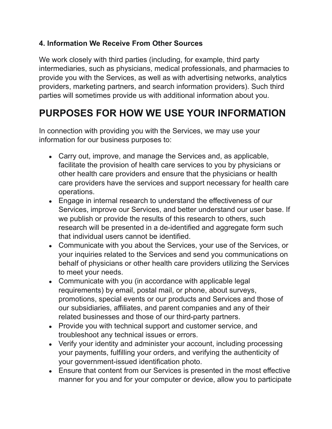#### **4. Information We Receive From Other Sources**

We work closely with third parties (including, for example, third party intermediaries, such as physicians, medical professionals, and pharmacies to provide you with the Services, as well as with advertising networks, analytics providers, marketing partners, and search information providers). Such third parties will sometimes provide us with additional information about you.

## **PURPOSES FOR HOW WE USE YOUR INFORMATION**

In connection with providing you with the Services, we may use your information for our business purposes to:

- Carry out, improve, and manage the Services and, as applicable, facilitate the provision of health care services to you by physicians or other health care providers and ensure that the physicians or health care providers have the services and support necessary for health care operations.
- Engage in internal research to understand the effectiveness of our Services, improve our Services, and better understand our user base. If we publish or provide the results of this research to others, such research will be presented in a de-identified and aggregate form such that individual users cannot be identified.
- Communicate with you about the Services, your use of the Services, or your inquiries related to the Services and send you communications on behalf of physicians or other health care providers utilizing the Services to meet your needs.
- Communicate with you (in accordance with applicable legal requirements) by email, postal mail, or phone, about surveys, promotions, special events or our products and Services and those of our subsidiaries, affiliates, and parent companies and any of their related businesses and those of our third-party partners.
- Provide you with technical support and customer service, and troubleshoot any technical issues or errors.
- Verify your identity and administer your account, including processing your payments, fulfilling your orders, and verifying the authenticity of your government-issued identification photo.
- Ensure that content from our Services is presented in the most effective manner for you and for your computer or device, allow you to participate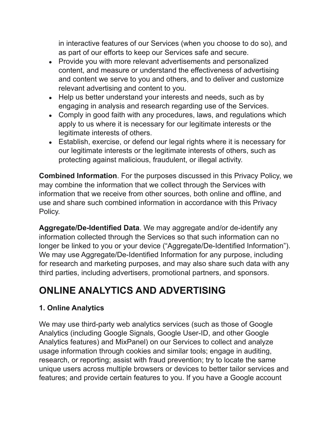in interactive features of our Services (when you choose to do so), and as part of our efforts to keep our Services safe and secure.

- Provide you with more relevant advertisements and personalized content, and measure or understand the effectiveness of advertising and content we serve to you and others, and to deliver and customize relevant advertising and content to you.
- Help us better understand your interests and needs, such as by engaging in analysis and research regarding use of the Services.
- Comply in good faith with any procedures, laws, and regulations which apply to us where it is necessary for our legitimate interests or the legitimate interests of others.
- Establish, exercise, or defend our legal rights where it is necessary for our legitimate interests or the legitimate interests of others, such as protecting against malicious, fraudulent, or illegal activity.

**Combined Information**. For the purposes discussed in this Privacy Policy, we may combine the information that we collect through the Services with information that we receive from other sources, both online and offline, and use and share such combined information in accordance with this Privacy Policy.

**Aggregate/De-Identified Data**. We may aggregate and/or de-identify any information collected through the Services so that such information can no longer be linked to you or your device ("Aggregate/De-Identified Information"). We may use Aggregate/De-Identified Information for any purpose, including for research and marketing purposes, and may also share such data with any third parties, including advertisers, promotional partners, and sponsors.

# **ONLINE ANALYTICS AND ADVERTISING**

#### **1. Online Analytics**

We may use third-party web analytics services (such as those of Google Analytics (including Google Signals, Google User-ID, and other Google Analytics features) and MixPanel) on our Services to collect and analyze usage information through cookies and similar tools; engage in auditing, research, or reporting; assist with fraud prevention; try to locate the same unique users across multiple browsers or devices to better tailor services and features; and provide certain features to you. If you have a Google account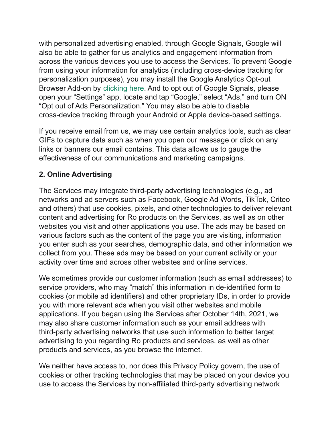with personalized advertising enabled, through Google Signals, Google will also be able to gather for us analytics and engagement information from across the various devices you use to access the Services. To prevent Google from using your information for analytics (including cross-device tracking for personalization purposes), you may install the Google Analytics Opt-out Browser Add-on by [clicking here.](https://tools.google.com/dlpage/gaoptout) And to opt out of Google Signals, please open your "Settings" app, locate and tap "Google," select "Ads," and turn ON "Opt out of Ads Personalization." You may also be able to disable cross-device tracking through your Android or Apple device-based settings.

If you receive email from us, we may use certain analytics tools, such as clear GIFs to capture data such as when you open our message or click on any links or banners our email contains. This data allows us to gauge the effectiveness of our communications and marketing campaigns.

#### **2. Online Advertising**

The Services may integrate third-party advertising technologies (e.g., ad networks and ad servers such as Facebook, Google Ad Words, TikTok, Criteo and others) that use cookies, pixels, and other technologies to deliver relevant content and advertising for Ro products on the Services, as well as on other websites you visit and other applications you use. The ads may be based on various factors such as the content of the page you are visiting, information you enter such as your searches, demographic data, and other information we collect from you. These ads may be based on your current activity or your activity over time and across other websites and online services.

We sometimes provide our customer information (such as email addresses) to service providers, who may "match" this information in de-identified form to cookies (or mobile ad identifiers) and other proprietary IDs, in order to provide you with more relevant ads when you visit other websites and mobile applications. If you began using the Services after October 14th, 2021, we may also share customer information such as your email address with third-party advertising networks that use such information to better target advertising to you regarding Ro products and services, as well as other products and services, as you browse the internet.

We neither have access to, nor does this Privacy Policy govern, the use of cookies or other tracking technologies that may be placed on your device you use to access the Services by non-affiliated third-party advertising network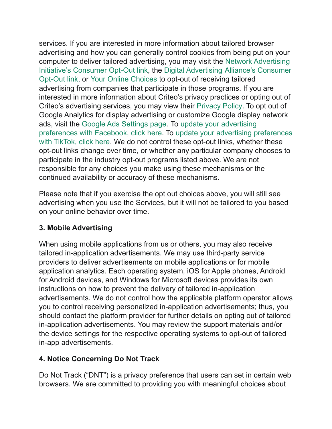services. If you are interested in more information about tailored browser advertising and how you can generally control cookies from being put on your computer to deliver tailored advertising, you may visit the [Network Advertising](http://optout.networkadvertising.org/#!/) [Initiative's Consumer Opt-Out link,](http://optout.networkadvertising.org/#!/) the Digital Advertising [Alliance's Consumer](http://optout.aboutads.info/#!/) [Opt-Out link](http://optout.aboutads.info/#!/), or [Your Online Choices](http://www.youronlinechoices.eu/) to opt-out of receiving tailored advertising from companies that participate in those programs. If you are interested in more information about Criteo's privacy practices or opting out of Criteo's advertising services, you may view their [Privacy](http://www.criteo.com/privacy/) Policy. To opt out of Google Analytics for display advertising or customize Google display network ads, visit the [Google Ads Settings page.](https://adssettings.google.com/authenticated) To update [your advertising](https://www.facebook.com/adpreferences/ad_settings/) [preferences with Facebook, click here.](https://www.facebook.com/adpreferences/ad_settings/) To update your [advertising preferences](https://support.tiktok.com/en/account-and-privacy/personalized-ads-and-data/personalization-and-data) [with TikTok, click here.](https://support.tiktok.com/en/account-and-privacy/personalized-ads-and-data/personalization-and-data) We do not control these opt-out links, whether these opt-out links change over time, or whether any particular company chooses to participate in the industry opt-out programs listed above. We are not responsible for any choices you make using these mechanisms or the continued availability or accuracy of these mechanisms.

Please note that if you exercise the opt out choices above, you will still see advertising when you use the Services, but it will not be tailored to you based on your online behavior over time.

#### **3. Mobile Advertising**

When using mobile applications from us or others, you may also receive tailored in-application advertisements. We may use third-party service providers to deliver advertisements on mobile applications or for mobile application analytics. Each operating system, iOS for Apple phones, Android for Android devices, and Windows for Microsoft devices provides its own instructions on how to prevent the delivery of tailored in-application advertisements. We do not control how the applicable platform operator allows you to control receiving personalized in-application advertisements; thus, you should contact the platform provider for further details on opting out of tailored in-application advertisements. You may review the support materials and/or the device settings for the respective operating systems to opt-out of tailored in-app advertisements.

#### **4. Notice Concerning Do Not Track**

Do Not Track ("DNT") is a privacy preference that users can set in certain web browsers. We are committed to providing you with meaningful choices about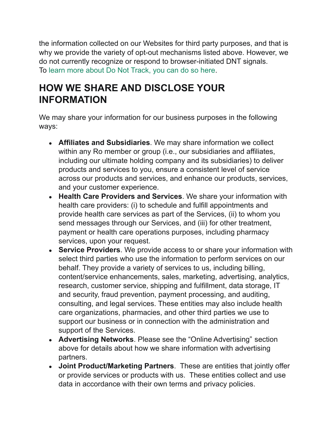the information collected on our Websites for third party purposes, and that is why we provide the variety of opt-out mechanisms listed above. However, we do not currently recognize or respond to browser-initiated DNT signals. To [learn more about Do Not Track, you can do so here](https://allaboutdnt.com/).

### **HOW WE SHARE AND DISCLOSE YOUR INFORMATION**

We may share your information for our business purposes in the following ways:

- **Affiliates and Subsidiaries**. We may share information we collect within any Ro member or group (i.e., our subsidiaries and affiliates, including our ultimate holding company and its subsidiaries) to deliver products and services to you, ensure a consistent level of service across our products and services, and enhance our products, services, and your customer experience.
- **Health Care Providers and Services**. We share your information with health care providers: (i) to schedule and fulfill appointments and provide health care services as part of the Services, (ii) to whom you send messages through our Services, and (iii) for other treatment, payment or health care operations purposes, including pharmacy services, upon your request.
- **Service Providers**. We provide access to or share your information with select third parties who use the information to perform services on our behalf. They provide a variety of services to us, including billing, content/service enhancements, sales, marketing, advertising, analytics, research, customer service, shipping and fulfillment, data storage, IT and security, fraud prevention, payment processing, and auditing, consulting, and legal services. These entities may also include health care organizations, pharmacies, and other third parties we use to support our business or in connection with the administration and support of the Services.
- **Advertising Networks**. Please see the "Online Advertising" section above for details about how we share information with advertising partners.
- **Joint Product/Marketing Partners**. These are entities that jointly offer or provide services or products with us. These entities collect and use data in accordance with their own terms and privacy policies.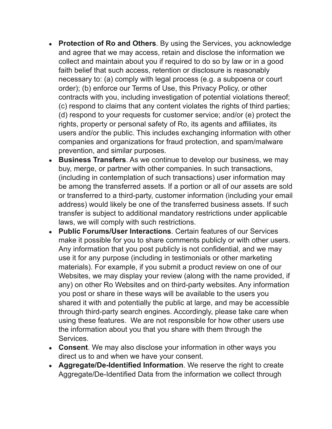- **Protection of Ro and Others**. By using the Services, you acknowledge and agree that we may access, retain and disclose the information we collect and maintain about you if required to do so by law or in a good faith belief that such access, retention or disclosure is reasonably necessary to: (a) comply with legal process (e.g. a subpoena or court order); (b) enforce our Terms of Use, this Privacy Policy, or other contracts with you, including investigation of potential violations thereof; (c) respond to claims that any content violates the rights of third parties; (d) respond to your requests for customer service; and/or (e) protect the rights, property or personal safety of Ro, its agents and affiliates, its users and/or the public. This includes exchanging information with other companies and organizations for fraud protection, and spam/malware prevention, and similar purposes.
- **Business Transfers**. As we continue to develop our business, we may buy, merge, or partner with other companies. In such transactions, (including in contemplation of such transactions) user information may be among the transferred assets. If a portion or all of our assets are sold or transferred to a third-party, customer information (including your email address) would likely be one of the transferred business assets. If such transfer is subject to additional mandatory restrictions under applicable laws, we will comply with such restrictions.
- **Public Forums/User Interactions**. Certain features of our Services make it possible for you to share comments publicly or with other users. Any information that you post publicly is not confidential, and we may use it for any purpose (including in testimonials or other marketing materials). For example, if you submit a product review on one of our Websites, we may display your review (along with the name provided, if any) on other Ro Websites and on third-party websites. Any information you post or share in these ways will be available to the users you shared it with and potentially the public at large, and may be accessible through third-party search engines. Accordingly, please take care when using these features. We are not responsible for how other users use the information about you that you share with them through the Services.
- Consent. We may also disclose your information in other ways you direct us to and when we have your consent.
- **Aggregate/De-Identified Information**. We reserve the right to create Aggregate/De-Identified Data from the information we collect through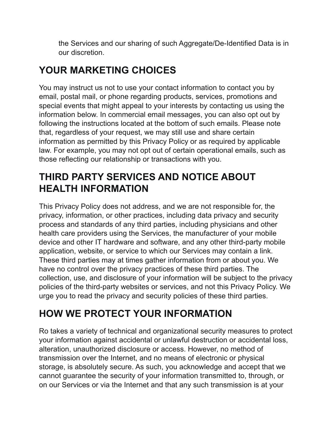the Services and our sharing of such Aggregate/De-Identified Data is in our discretion.

# **YOUR MARKETING CHOICES**

You may instruct us not to use your contact information to contact you by email, postal mail, or phone regarding products, services, promotions and special events that might appeal to your interests by contacting us using the information below. In commercial email messages, you can also opt out by following the instructions located at the bottom of such emails. Please note that, regardless of your request, we may still use and share certain information as permitted by this Privacy Policy or as required by applicable law. For example, you may not opt out of certain operational emails, such as those reflecting our relationship or transactions with you.

## **THIRD PARTY SERVICES AND NOTICE ABOUT HEALTH INFORMATION**

This Privacy Policy does not address, and we are not responsible for, the privacy, information, or other practices, including data privacy and security process and standards of any third parties, including physicians and other health care providers using the Services, the manufacturer of your mobile device and other IT hardware and software, and any other third-party mobile application, website, or service to which our Services may contain a link. These third parties may at times gather information from or about you. We have no control over the privacy practices of these third parties. The collection, use, and disclosure of your information will be subject to the privacy policies of the third-party websites or services, and not this Privacy Policy. We urge you to read the privacy and security policies of these third parties.

# **HOW WE PROTECT YOUR INFORMATION**

Ro takes a variety of technical and organizational security measures to protect your information against accidental or unlawful destruction or accidental loss, alteration, unauthorized disclosure or access. However, no method of transmission over the Internet, and no means of electronic or physical storage, is absolutely secure. As such, you acknowledge and accept that we cannot guarantee the security of your information transmitted to, through, or on our Services or via the Internet and that any such transmission is at your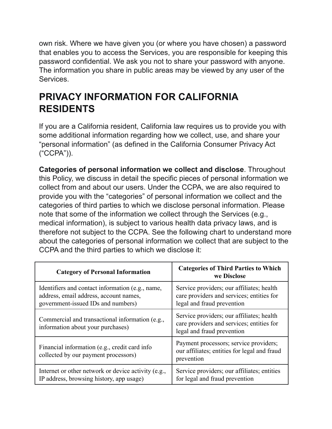own risk. Where we have given you (or where you have chosen) a password that enables you to access the Services, you are responsible for keeping this password confidential. We ask you not to share your password with anyone. The information you share in public areas may be viewed by any user of the Services.

### **PRIVACY INFORMATION FOR CALIFORNIA RESIDENTS**

If you are a California resident, California law requires us to provide you with some additional information regarding how we collect, use, and share your "personal information" (as defined in the California Consumer Privacy Act ("CCPA")).

**Categories of personal information we collect and disclose**. Throughout this Policy, we discuss in detail the specific pieces of personal information we collect from and about our users. Under the CCPA, we are also required to provide you with the "categories" of personal information we collect and the categories of third parties to which we disclose personal information. Please note that some of the information we collect through the Services (e.g., medical information), is subject to various health data privacy laws, and is therefore not subject to the CCPA. See the following chart to understand more about the categories of personal information we collect that are subject to the CCPA and the third parties to which we disclose it:

| <b>Category of Personal Information</b>                                                                                          | <b>Categories of Third Parties to Which</b><br>we Disclose                                                           |
|----------------------------------------------------------------------------------------------------------------------------------|----------------------------------------------------------------------------------------------------------------------|
| Identifiers and contact information (e.g., name,<br>address, email address, account names,<br>government-issued IDs and numbers) | Service providers; our affiliates; health<br>care providers and services; entities for<br>legal and fraud prevention |
| Commercial and transactional information (e.g.,<br>information about your purchases)                                             | Service providers; our affiliates; health<br>care providers and services; entities for<br>legal and fraud prevention |
| Financial information (e.g., credit card info<br>collected by our payment processors)                                            | Payment processors; service providers;<br>our affiliates; entities for legal and fraud<br>prevention                 |
| Internet or other network or device activity (e.g.,<br>IP address, browsing history, app usage)                                  | Service providers; our affiliates; entities<br>for legal and fraud prevention                                        |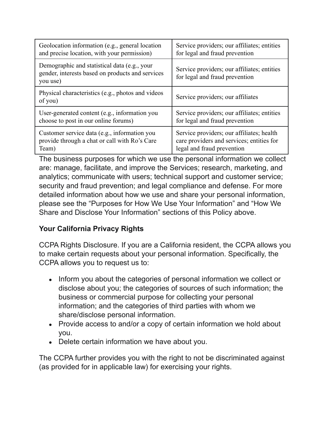| Geolocation information (e.g., general location                                                              | Service providers; our affiliates; entities                                   |
|--------------------------------------------------------------------------------------------------------------|-------------------------------------------------------------------------------|
| and precise location, with your permission)                                                                  | for legal and fraud prevention                                                |
| Demographic and statistical data (e.g., your<br>gender, interests based on products and services<br>you use) | Service providers; our affiliates; entities<br>for legal and fraud prevention |
| Physical characteristics (e.g., photos and videos<br>of you)                                                 | Service providers; our affiliates                                             |
| User-generated content (e.g., information you                                                                | Service providers; our affiliates; entities                                   |
| choose to post in our online forums)                                                                         | for legal and fraud prevention                                                |
| Customer service data (e.g., information you                                                                 | Service providers; our affiliates; health                                     |
| provide through a chat or call with Ro's Care                                                                | care providers and services; entities for                                     |
| Team)                                                                                                        | legal and fraud prevention                                                    |

The business purposes for which we use the personal information we collect are: manage, facilitate, and improve the Services; research, marketing, and analytics; communicate with users; technical support and customer service; security and fraud prevention; and legal compliance and defense. For more detailed information about how we use and share your personal information, please see the "Purposes for How We Use Your Information" and "How We Share and Disclose Your Information" sections of this Policy above.

#### **Your California Privacy Rights**

CCPA Rights Disclosure. If you are a California resident, the CCPA allows you to make certain requests about your personal information. Specifically, the CCPA allows you to request us to:

- Inform you about the categories of personal information we collect or disclose about you; the categories of sources of such information; the business or commercial purpose for collecting your personal information; and the categories of third parties with whom we share/disclose personal information.
- Provide access to and/or a copy of certain information we hold about you.
- Delete certain information we have about you.

The CCPA further provides you with the right to not be discriminated against (as provided for in applicable law) for exercising your rights.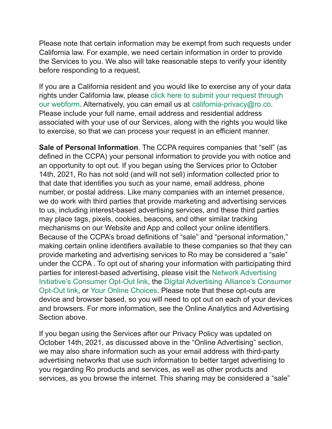Please note that certain information may be exempt from such requests under California law. For example, we need certain information in order to provide the Services to you. We also will take reasonable steps to verify your identity before responding to a request.

If you are a California resident and you would like to exercise any of your data rights under California law, please click here to [submit your request through](http://ro.co/ccpa) [our webform](http://ro.co/ccpa). Alternatively, you can email us at [california-privacy@ro.co.](mailto:california-privacy@ro.co) Please include your full name, email address and residential address associated with your use of our Services, along with the rights you would like to exercise, so that we can process your request in an efficient manner.

**Sale of Personal Information**. The CCPA requires companies that "sell" (as defined in the CCPA) your personal information to provide you with notice and an opportunity to opt out. If you began using the Services prior to October 14th, 2021, Ro has not sold (and will not sell) information collected prior to that date that identifies you such as your name, email address, phone number, or postal address. Like many companies with an internet presence, we do work with third parties that provide marketing and advertising services to us, including interest-based advertising services, and these third parties may place tags, pixels, cookies, beacons, and other similar tracking mechanisms on our Website and App and collect your online identifiers. Because of the CCPA's broad definitions of "sale" and "personal information," making certain online identifiers available to these companies so that they can provide marketing and advertising services to Ro may be considered a "sale" under the CCPA . To opt out of sharing your information with participating third parties for interest-based advertising, please visit the [Network Advertising](http://optout.networkadvertising.org/#!/) [Initiative's Consumer Opt-Out link,](http://optout.networkadvertising.org/#!/) the Digital Advertising [Alliance's Consumer](http://optout.aboutads.info/#!/) [Opt-Out link](http://optout.aboutads.info/#!/), or [Your Online Choices.](http://www.youronlinechoices.eu/) Please note that these opt-outs are device and browser based, so you will need to opt out on each of your devices and browsers. For more information, see the Online Analytics and Advertising Section above.

If you began using the Services after our Privacy Policy was updated on October 14th, 2021, as discussed above in the "Online Advertising" section, we may also share information such as your email address with third-party advertising networks that use such information to better target advertising to you regarding Ro products and services, as well as other products and services, as you browse the internet. This sharing may be considered a "sale"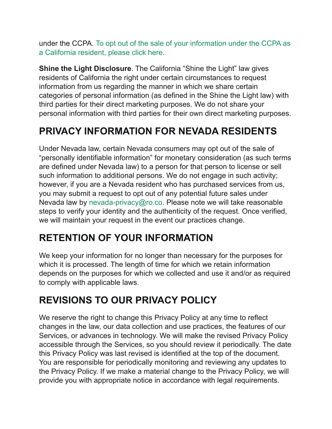under the CCPA. [To opt out of the sale of your information under the CCPA as](https://ro.co/do-not-sell) [a California resident, please click here](https://ro.co/do-not-sell).

**Shine the Light Disclosure**. The California "Shine the Light" law gives residents of California the right under certain circumstances to request information from us regarding the manner in which we share certain categories of personal information (as defined in the Shine the Light law) with third parties for their direct marketing purposes. We do not share your personal information with third parties for their own direct marketing purposes.

# **PRIVACY INFORMATION FOR NEVADA RESIDENTS**

Under Nevada law, certain Nevada consumers may opt out of the sale of "personally identifiable information" for monetary consideration (as such terms are defined under Nevada law) to a person for that person to license or sell such information to additional persons. We do not engage in such activity; however, if you are a Nevada resident who has purchased services from us, you may submit a request to opt out of any potential future sales under Nevada law by [nevada-privacy@ro.co.](mailto:nevada-privacy@ro.co) Please note we will take reasonable steps to verify your identity and the authenticity of the request. Once verified, we will maintain your request in the event our practices change.

### **RETENTION OF YOUR INFORMATION**

We keep your information for no longer than necessary for the purposes for which it is processed. The length of time for which we retain information depends on the purposes for which we collected and use it and/or as required to comply with applicable laws.

### **REVISIONS TO OUR PRIVACY POLICY**

We reserve the right to change this Privacy Policy at any time to reflect changes in the law, our data collection and use practices, the features of our Services, or advances in technology. We will make the revised Privacy Policy accessible through the Services, so you should review it periodically. The date this Privacy Policy was last revised is identified at the top of the document. You are responsible for periodically monitoring and reviewing any updates to the Privacy Policy. If we make a material change to the Privacy Policy, we will provide you with appropriate notice in accordance with legal requirements.